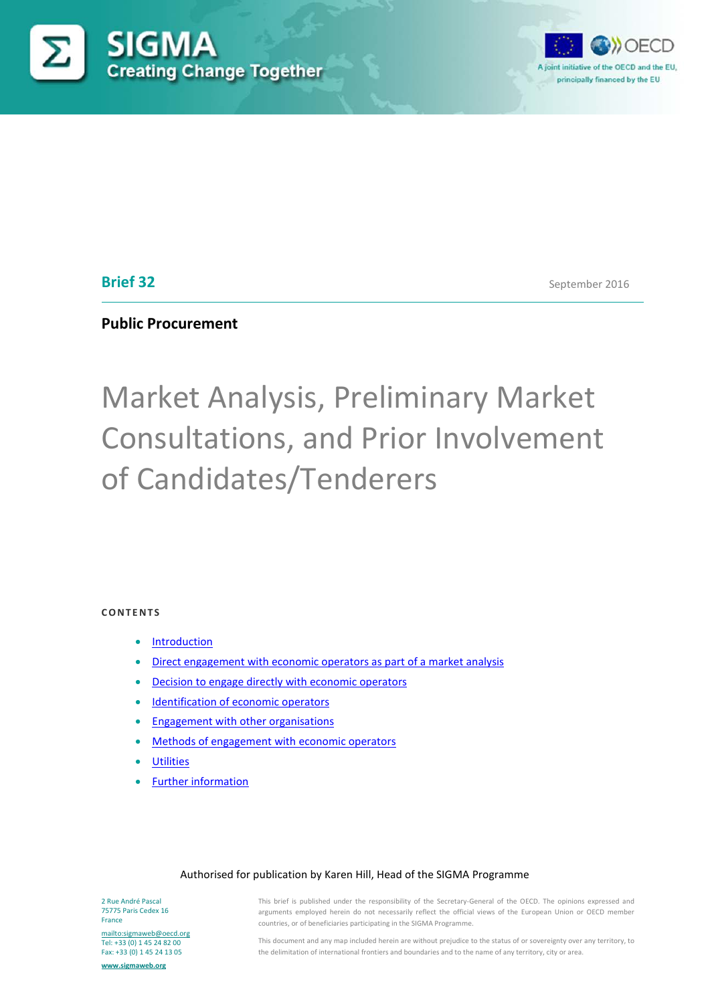



## **Brief 32**

September 2016

## **Public Procurement**

# Market Analysis, Preliminary Market Consultations, and Prior Involvement of Candidates/Tenderers

#### **CONTENTS**

- **Introduction**
- [Direct engagement with economic operators as part of a market analysis](#page-3-0)
- [Decision to engage directly with economic operators](#page-5-0)
- [Identification of economic operators](#page-5-1)
- **[Engagement with other organisations](#page-6-0)**
- [Methods of engagement with economic operators](#page-6-1)
- **[Utilities](#page-7-0)**
- [Further information](#page-7-1)

#### Authorised for publication by Karen Hill, Head of the SIGMA Programme

2 Rue André Pascal 75775 Paris Cedex 16 France

<mailto:sigmaweb@oecd.org> Tel: +33 (0) 1 45 24 82 00 Fax: +33 (0) 1 45 24 13 05

**[www.sigmaweb.org](http://www.sigmaweb.org/)**

This brief is published under the responsibility of the Secretary-General of the OECD. The opinions expressed and arguments employed herein do not necessarily reflect the official views of the European Union or OECD member countries, or of beneficiaries participating in the SIGMA Programme.

This document and any map included herein are without prejudice to the status of or sovereignty over any territory, to the delimitation of international frontiers and boundaries and to the name of any territory, city or area.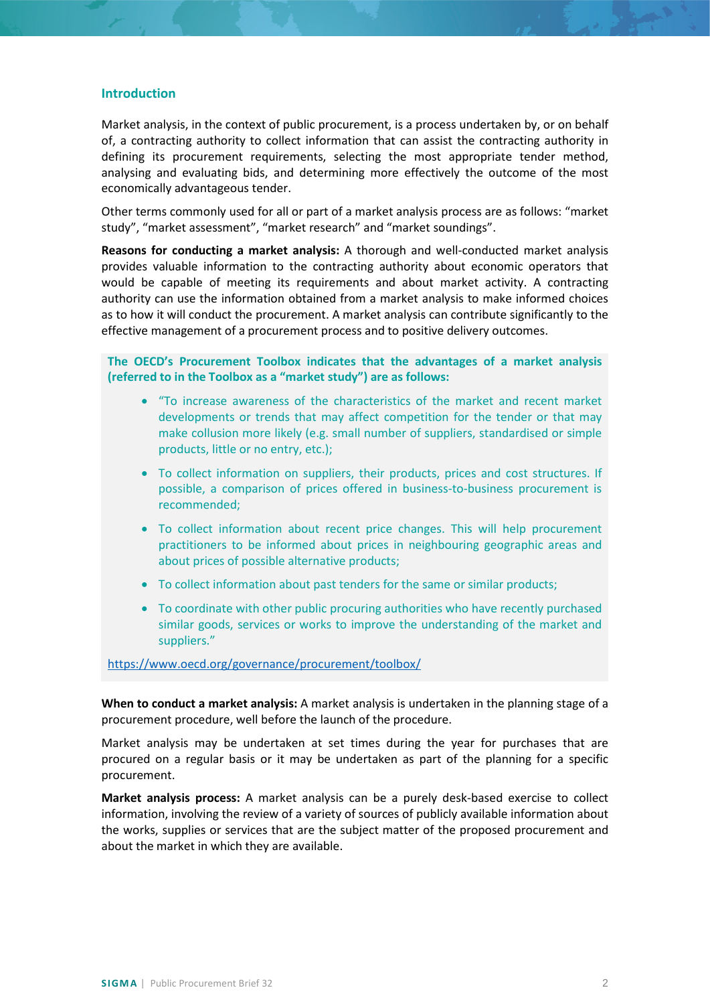#### **Introduction**

Market analysis, in the context of public procurement, is a process undertaken by, or on behalf of, a contracting authority to collect information that can assist the contracting authority in defining its procurement requirements, selecting the most appropriate tender method, analysing and evaluating bids, and determining more effectively the outcome of the most economically advantageous tender.

Other terms commonly used for all or part of a market analysis process are as follows: "market study", "market assessment", "market research" and "market soundings".

**Reasons for conducting a market analysis:** A thorough and well-conducted market analysis provides valuable information to the contracting authority about economic operators that would be capable of meeting its requirements and about market activity. A contracting authority can use the information obtained from a market analysis to make informed choices as to how it will conduct the procurement. A market analysis can contribute significantly to the effective management of a procurement process and to positive delivery outcomes.

**The OECD's Procurement Toolbox indicates that the advantages of a market analysis (referred to in the Toolbox as a "market study") are as follows:**

- "To increase awareness of the characteristics of the market and recent market developments or trends that may affect competition for the tender or that may make collusion more likely (e.g. small number of suppliers, standardised or simple products, little or no entry, etc.);
- To collect information on suppliers, their products, prices and cost structures. If possible, a comparison of prices offered in business-to-business procurement is recommended;
- To collect information about recent price changes. This will help procurement practitioners to be informed about prices in neighbouring geographic areas and about prices of possible alternative products;
- To collect information about past tenders for the same or similar products;
- To coordinate with other public procuring authorities who have recently purchased similar goods, services or works to improve the understanding of the market and suppliers."

<https://www.oecd.org/governance/procurement/toolbox/>

**When to conduct a market analysis:** A market analysis is undertaken in the planning stage of a procurement procedure, well before the launch of the procedure.

Market analysis may be undertaken at set times during the year for purchases that are procured on a regular basis or it may be undertaken as part of the planning for a specific procurement.

**Market analysis process:** A market analysis can be a purely desk-based exercise to collect information, involving the review of a variety of sources of publicly available information about the works, supplies or services that are the subject matter of the proposed procurement and about the market in which they are available.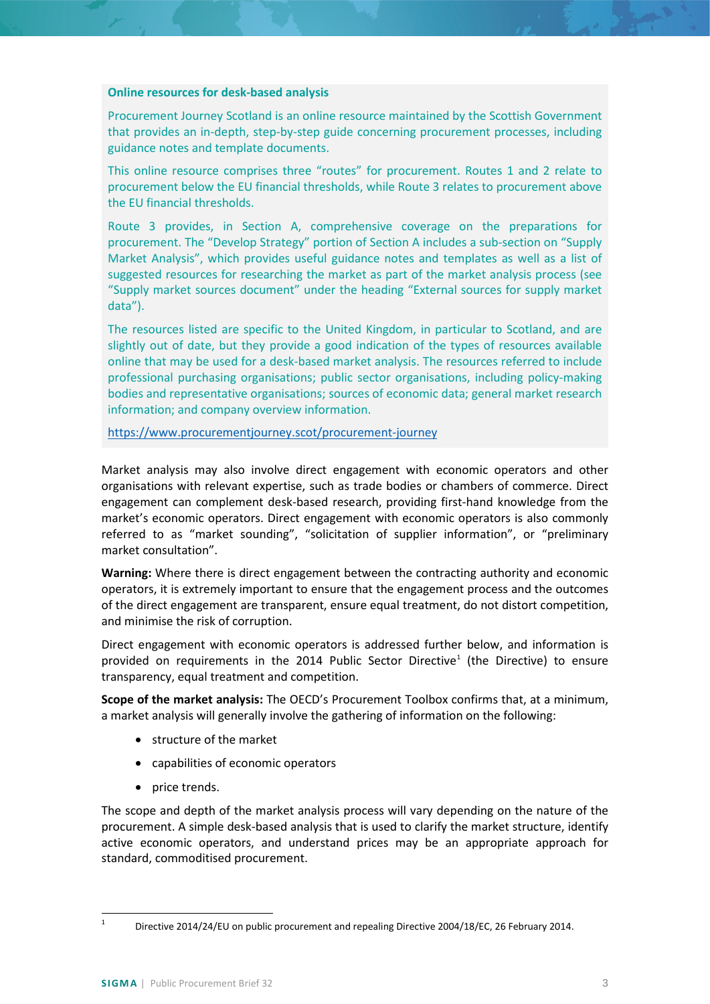#### **Online resources for desk-based analysis**

Procurement Journey Scotland is an online resource maintained by the Scottish Government that provides an in-depth, step-by-step guide concerning procurement processes, including guidance notes and template documents.

This online resource comprises three "routes" for procurement. Routes 1 and 2 relate to procurement below the EU financial thresholds, while Route 3 relates to procurement above the EU financial thresholds.

Route 3 provides, in Section A, comprehensive coverage on the preparations for procurement. The "Develop Strategy" portion of Section A includes a sub-section on "Supply Market Analysis", which provides useful guidance notes and templates as well as a list of suggested resources for researching the market as part of the market analysis process (see "Supply market sources document" under the heading "External sources for supply market data").

The resources listed are specific to the United Kingdom, in particular to Scotland, and are slightly out of date, but they provide a good indication of the types of resources available online that may be used for a desk-based market analysis. The resources referred to include professional purchasing organisations; public sector organisations, including policy-making bodies and representative organisations; sources of economic data; general market research information; and company overview information.

<https://www.procurementjourney.scot/procurement-journey>

Market analysis may also involve direct engagement with economic operators and other organisations with relevant expertise, such as trade bodies or chambers of commerce. Direct engagement can complement desk-based research, providing first-hand knowledge from the market's economic operators. Direct engagement with economic operators is also commonly referred to as "market sounding", "solicitation of supplier information", or "preliminary market consultation".

**Warning:** Where there is direct engagement between the contracting authority and economic operators, it is extremely important to ensure that the engagement process and the outcomes of the direct engagement are transparent, ensure equal treatment, do not distort competition, and minimise the risk of corruption.

Direct engagement with economic operators is addressed further below, and information is provided on requirements in the 20[1](#page-2-0)4 Public Sector Directive<sup>1</sup> (the Directive) to ensure transparency, equal treatment and competition.

**Scope of the market analysis:** The OECD's Procurement Toolbox confirms that, at a minimum, a market analysis will generally involve the gathering of information on the following:

- structure of the market
- capabilities of economic operators
- price trends.

The scope and depth of the market analysis process will vary depending on the nature of the procurement. A simple desk-based analysis that is used to clarify the market structure, identify active economic operators, and understand prices may be an appropriate approach for standard, commoditised procurement.

<span id="page-2-0"></span><sup>&</sup>lt;sup>1</sup> Directive 2014/24/EU on public procurement and repealing Directive 2004/18/EC, 26 February 2014.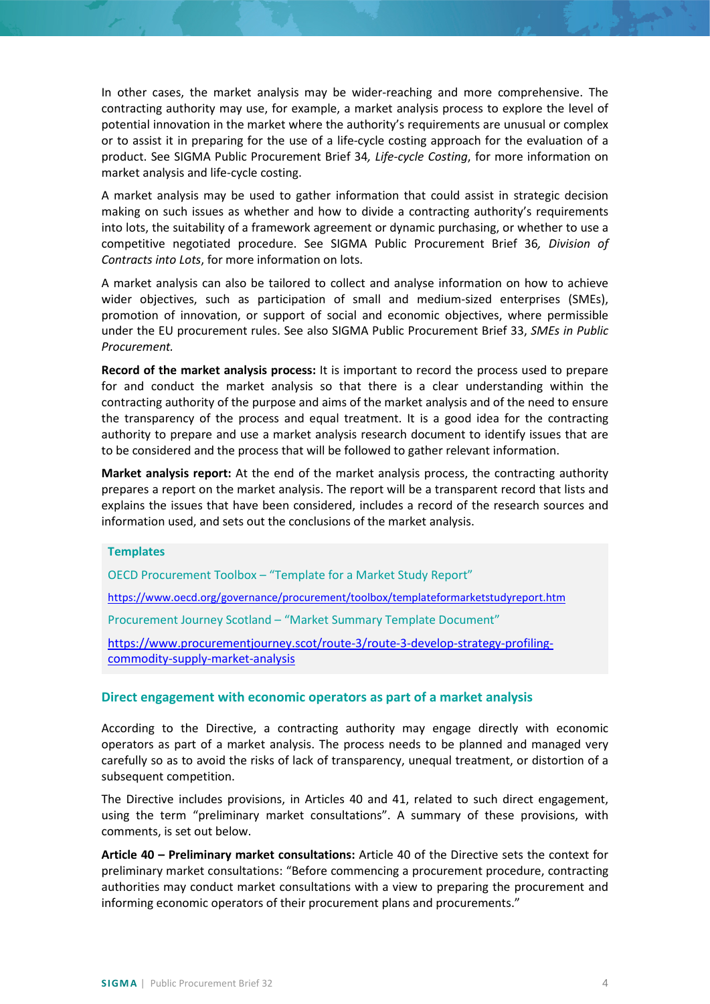In other cases, the market analysis may be wider-reaching and more comprehensive. The contracting authority may use, for example, a market analysis process to explore the level of potential innovation in the market where the authority's requirements are unusual or complex or to assist it in preparing for the use of a life-cycle costing approach for the evaluation of a product. See SIGMA Public Procurement Brief 34*, Life-cycle Costing*, for more information on market analysis and life-cycle costing.

A market analysis may be used to gather information that could assist in strategic decision making on such issues as whether and how to divide a contracting authority's requirements into lots, the suitability of a framework agreement or dynamic purchasing, or whether to use a competitive negotiated procedure. See SIGMA Public Procurement Brief 36*, Division of Contracts into Lots*, for more information on lots.

A market analysis can also be tailored to collect and analyse information on how to achieve wider objectives, such as participation of small and medium-sized enterprises (SMEs), promotion of innovation, or support of social and economic objectives, where permissible under the EU procurement rules. See also SIGMA Public Procurement Brief 33, *SMEs in Public Procurement.*

**Record of the market analysis process:** It is important to record the process used to prepare for and conduct the market analysis so that there is a clear understanding within the contracting authority of the purpose and aims of the market analysis and of the need to ensure the transparency of the process and equal treatment. It is a good idea for the contracting authority to prepare and use a market analysis research document to identify issues that are to be considered and the process that will be followed to gather relevant information.

**Market analysis report:** At the end of the market analysis process, the contracting authority prepares a report on the market analysis. The report will be a transparent record that lists and explains the issues that have been considered, includes a record of the research sources and information used, and sets out the conclusions of the market analysis.

#### **Templates**

OECD Procurement Toolbox – "Template for a Market Study Report"

<https://www.oecd.org/governance/procurement/toolbox/templateformarketstudyreport.htm>

Procurement Journey Scotland – "Market Summary Template Document"

[https://www.procurementjourney.scot/route-3/route-3-develop-strategy-profiling](https://www.procurementjourney.scot/route-3/route-3-develop-strategy-profiling-commodity-supply-market-analysis)[commodity-supply-market-analysis](https://www.procurementjourney.scot/route-3/route-3-develop-strategy-profiling-commodity-supply-market-analysis)

#### <span id="page-3-0"></span>**Direct engagement with economic operators as part of a market analysis**

According to the Directive, a contracting authority may engage directly with economic operators as part of a market analysis. The process needs to be planned and managed very carefully so as to avoid the risks of lack of transparency, unequal treatment, or distortion of a subsequent competition.

The Directive includes provisions, in Articles 40 and 41, related to such direct engagement, using the term "preliminary market consultations". A summary of these provisions, with comments, is set out below.

**Article 40 – Preliminary market consultations:** Article 40 of the Directive sets the context for preliminary market consultations: "Before commencing a procurement procedure, contracting authorities may conduct market consultations with a view to preparing the procurement and informing economic operators of their procurement plans and procurements."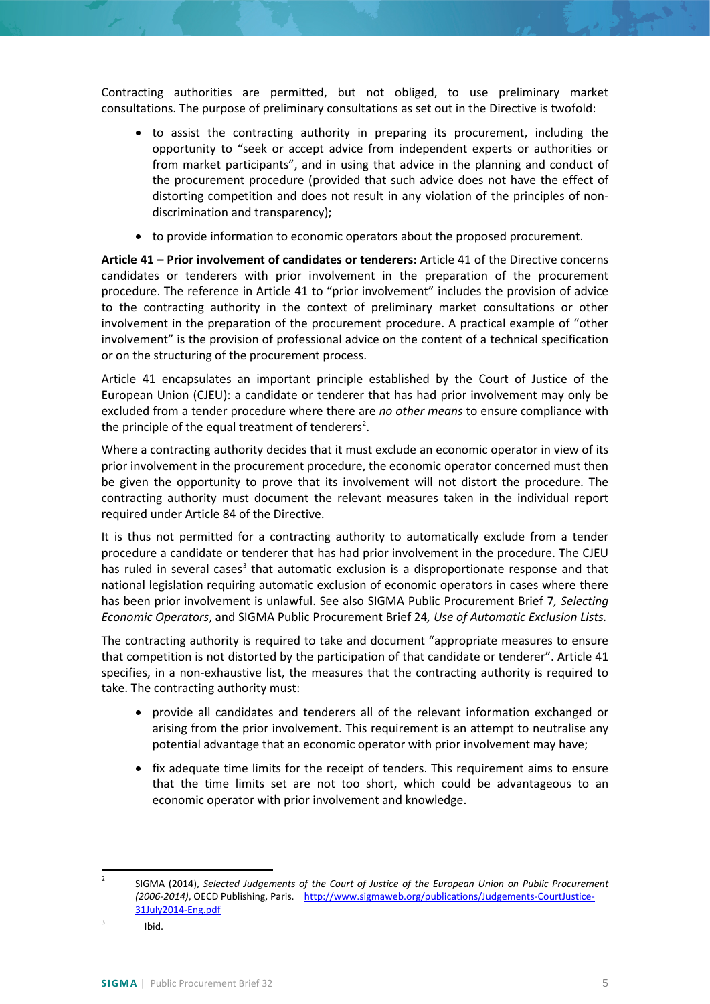Contracting authorities are permitted, but not obliged, to use preliminary market consultations. The purpose of preliminary consultations as set out in the Directive is twofold:

- to assist the contracting authority in preparing its procurement, including the opportunity to "seek or accept advice from independent experts or authorities or from market participants", and in using that advice in the planning and conduct of the procurement procedure (provided that such advice does not have the effect of distorting competition and does not result in any violation of the principles of nondiscrimination and transparency);
- to provide information to economic operators about the proposed procurement.

**Article 41 – Prior involvement of candidates or tenderers:** Article 41 of the Directive concerns candidates or tenderers with prior involvement in the preparation of the procurement procedure. The reference in Article 41 to "prior involvement" includes the provision of advice to the contracting authority in the context of preliminary market consultations or other involvement in the preparation of the procurement procedure. A practical example of "other involvement" is the provision of professional advice on the content of a technical specification or on the structuring of the procurement process.

Article 41 encapsulates an important principle established by the Court of Justice of the European Union (CJEU): a candidate or tenderer that has had prior involvement may only be excluded from a tender procedure where there are *no other means* to ensure compliance with the principle of the equal treatment of tenderers<sup>[2](#page-4-0)</sup>.

Where a contracting authority decides that it must exclude an economic operator in view of its prior involvement in the procurement procedure, the economic operator concerned must then be given the opportunity to prove that its involvement will not distort the procedure. The contracting authority must document the relevant measures taken in the individual report required under Article 84 of the Directive.

It is thus not permitted for a contracting authority to automatically exclude from a tender procedure a candidate or tenderer that has had prior involvement in the procedure. The CJEU has ruled in several cases<sup>[3](#page-4-1)</sup> that automatic exclusion is a disproportionate response and that national legislation requiring automatic exclusion of economic operators in cases where there has been prior involvement is unlawful. See also SIGMA Public Procurement Brief 7*, Selecting Economic Operators*, and SIGMA Public Procurement Brief 24*, Use of Automatic Exclusion Lists.*

The contracting authority is required to take and document "appropriate measures to ensure that competition is not distorted by the participation of that candidate or tenderer". Article 41 specifies, in a non-exhaustive list, the measures that the contracting authority is required to take. The contracting authority must:

- provide all candidates and tenderers all of the relevant information exchanged or arising from the prior involvement. This requirement is an attempt to neutralise any potential advantage that an economic operator with prior involvement may have;
- fix adequate time limits for the receipt of tenders. This requirement aims to ensure that the time limits set are not too short, which could be advantageous to an economic operator with prior involvement and knowledge.

<span id="page-4-0"></span> <sup>2</sup> SIGMA (2014), *Selected Judgements of the Court of Justice of the European Union on Public Procurement (2006-2014)*, OECD Publishing, Paris. [http://www.sigmaweb.org/publications/Judgements-CourtJustice-](http://www.sigmaweb.org/publications/Judgements-CourtJustice-31July2014-Eng.pdf)[31July2014-Eng.pdf](http://www.sigmaweb.org/publications/Judgements-CourtJustice-31July2014-Eng.pdf)

<span id="page-4-1"></span> $3$  Ibid.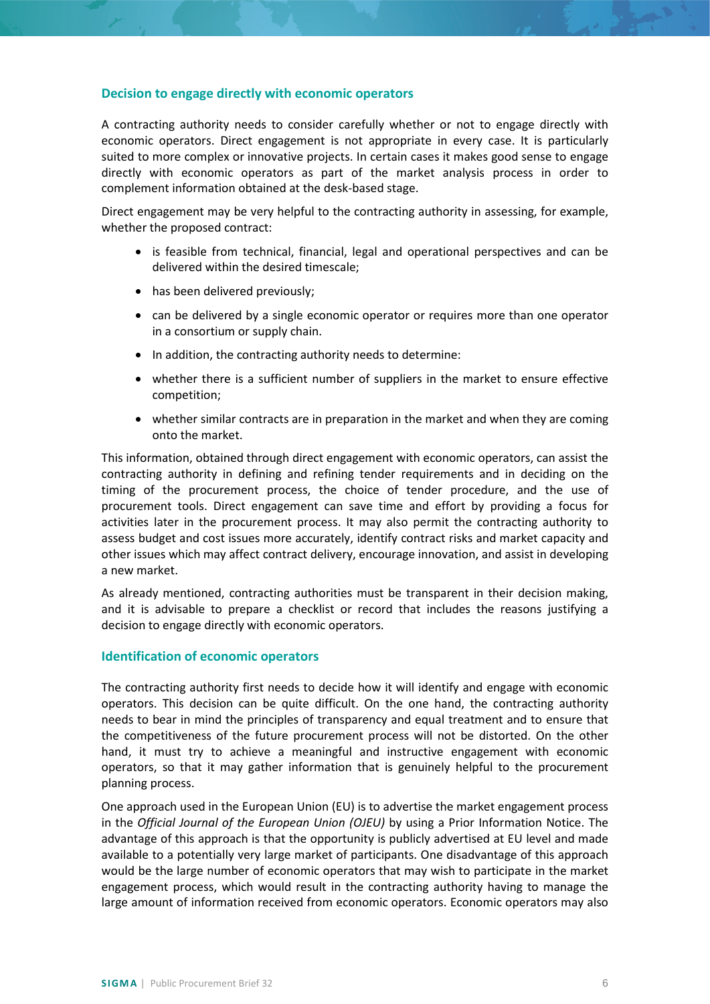#### <span id="page-5-0"></span>**Decision to engage directly with economic operators**

A contracting authority needs to consider carefully whether or not to engage directly with economic operators. Direct engagement is not appropriate in every case. It is particularly suited to more complex or innovative projects. In certain cases it makes good sense to engage directly with economic operators as part of the market analysis process in order to complement information obtained at the desk-based stage.

Direct engagement may be very helpful to the contracting authority in assessing, for example, whether the proposed contract:

- is feasible from technical, financial, legal and operational perspectives and can be delivered within the desired timescale;
- has been delivered previously;
- can be delivered by a single economic operator or requires more than one operator in a consortium or supply chain.
- In addition, the contracting authority needs to determine:
- whether there is a sufficient number of suppliers in the market to ensure effective competition;
- whether similar contracts are in preparation in the market and when they are coming onto the market.

This information, obtained through direct engagement with economic operators, can assist the contracting authority in defining and refining tender requirements and in deciding on the timing of the procurement process, the choice of tender procedure, and the use of procurement tools. Direct engagement can save time and effort by providing a focus for activities later in the procurement process. It may also permit the contracting authority to assess budget and cost issues more accurately, identify contract risks and market capacity and other issues which may affect contract delivery, encourage innovation, and assist in developing a new market.

As already mentioned, contracting authorities must be transparent in their decision making, and it is advisable to prepare a checklist or record that includes the reasons justifying a decision to engage directly with economic operators.

### <span id="page-5-1"></span>**Identification of economic operators**

The contracting authority first needs to decide how it will identify and engage with economic operators. This decision can be quite difficult. On the one hand, the contracting authority needs to bear in mind the principles of transparency and equal treatment and to ensure that the competitiveness of the future procurement process will not be distorted. On the other hand, it must try to achieve a meaningful and instructive engagement with economic operators, so that it may gather information that is genuinely helpful to the procurement planning process.

One approach used in the European Union (EU) is to advertise the market engagement process in the *Official Journal of the European Union (OJEU)* by using a Prior Information Notice. The advantage of this approach is that the opportunity is publicly advertised at EU level and made available to a potentially very large market of participants. One disadvantage of this approach would be the large number of economic operators that may wish to participate in the market engagement process, which would result in the contracting authority having to manage the large amount of information received from economic operators. Economic operators may also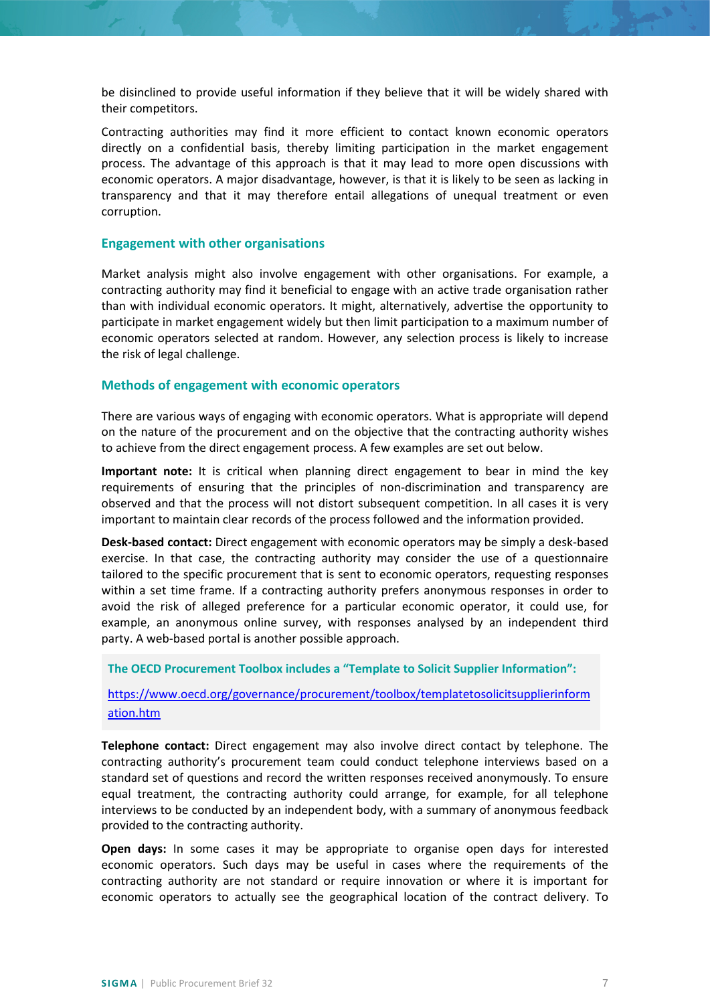be disinclined to provide useful information if they believe that it will be widely shared with their competitors.

Contracting authorities may find it more efficient to contact known economic operators directly on a confidential basis, thereby limiting participation in the market engagement process. The advantage of this approach is that it may lead to more open discussions with economic operators. A major disadvantage, however, is that it is likely to be seen as lacking in transparency and that it may therefore entail allegations of unequal treatment or even corruption.

#### <span id="page-6-0"></span>**Engagement with other organisations**

Market analysis might also involve engagement with other organisations. For example, a contracting authority may find it beneficial to engage with an active trade organisation rather than with individual economic operators. It might, alternatively, advertise the opportunity to participate in market engagement widely but then limit participation to a maximum number of economic operators selected at random. However, any selection process is likely to increase the risk of legal challenge.

#### <span id="page-6-1"></span>**Methods of engagement with economic operators**

There are various ways of engaging with economic operators. What is appropriate will depend on the nature of the procurement and on the objective that the contracting authority wishes to achieve from the direct engagement process. A few examples are set out below.

**Important note:** It is critical when planning direct engagement to bear in mind the key requirements of ensuring that the principles of non-discrimination and transparency are observed and that the process will not distort subsequent competition. In all cases it is very important to maintain clear records of the process followed and the information provided.

**Desk-based contact:** Direct engagement with economic operators may be simply a desk-based exercise. In that case, the contracting authority may consider the use of a questionnaire tailored to the specific procurement that is sent to economic operators, requesting responses within a set time frame. If a contracting authority prefers anonymous responses in order to avoid the risk of alleged preference for a particular economic operator, it could use, for example, an anonymous online survey, with responses analysed by an independent third party. A web-based portal is another possible approach.

**The OECD Procurement Toolbox includes a "Template to Solicit Supplier Information":** 

[https://www.oecd.org/governance/procurement/toolbox/templatetosolicitsupplierinform](https://www.oecd.org/governance/procurement/toolbox/templatetosolicitsupplierinformation.htm) [ation.htm](https://www.oecd.org/governance/procurement/toolbox/templatetosolicitsupplierinformation.htm)

**Telephone contact:** Direct engagement may also involve direct contact by telephone. The contracting authority's procurement team could conduct telephone interviews based on a standard set of questions and record the written responses received anonymously. To ensure equal treatment, the contracting authority could arrange, for example, for all telephone interviews to be conducted by an independent body, with a summary of anonymous feedback provided to the contracting authority.

**Open days:** In some cases it may be appropriate to organise open days for interested economic operators. Such days may be useful in cases where the requirements of the contracting authority are not standard or require innovation or where it is important for economic operators to actually see the geographical location of the contract delivery. To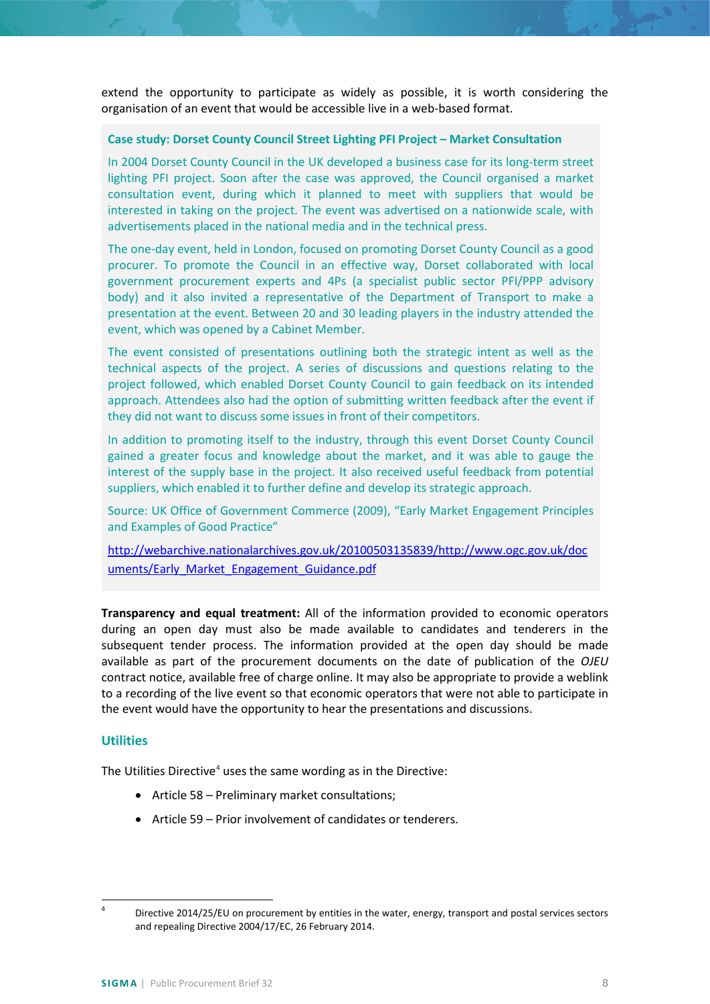extend the opportunity to participate as widely as possible, it is worth considering the organisation of an event that would be accessible live in a web-based format.

#### **Case study: Dorset County Council Street Lighting PFI Project – Market Consultation**

In 2004 Dorset County Council in the UK developed a business case for its long-term street lighting PFI project. Soon after the case was approved, the Council organised a market consultation event, during which it planned to meet with suppliers that would be interested in taking on the project. The event was advertised on a nationwide scale, with advertisements placed in the national media and in the technical press.

The one-day event, held in London, focused on promoting Dorset County Council as a good procurer. To promote the Council in an effective way, Dorset collaborated with local government procurement experts and 4Ps (a specialist public sector PFI/PPP advisory body) and it also invited a representative of the Department of Transport to make a presentation at the event. Between 20 and 30 leading players in the industry attended the event, which was opened by a Cabinet Member.

The event consisted of presentations outlining both the strategic intent as well as the technical aspects of the project. A series of discussions and questions relating to the project followed, which enabled Dorset County Council to gain feedback on its intended approach. Attendees also had the option of submitting written feedback after the event if they did not want to discuss some issues in front of their competitors.

In addition to promoting itself to the industry, through this event Dorset County Council gained a greater focus and knowledge about the market, and it was able to gauge the interest of the supply base in the project. It also received useful feedback from potential suppliers, which enabled it to further define and develop its strategic approach.

Source: UK Office of Government Commerce (2009), "Early Market Engagement Principles and Examples of Good Practice"

[http://webarchive.nationalarchives.gov.uk/20100503135839/http://www.ogc.gov.uk/doc](http://webarchive.nationalarchives.gov.uk/20100503135839/http:/www.ogc.gov.uk/documents/Early_Market_Engagement_Guidance.pdf) [uments/Early\\_Market\\_Engagement\\_Guidance.pdf](http://webarchive.nationalarchives.gov.uk/20100503135839/http:/www.ogc.gov.uk/documents/Early_Market_Engagement_Guidance.pdf)

**Transparency and equal treatment:** All of the information provided to economic operators during an open day must also be made available to candidates and tenderers in the subsequent tender process. The information provided at the open day should be made available as part of the procurement documents on the date of publication of the *OJEU* contract notice, available free of charge online. It may also be appropriate to provide a weblink to a recording of the live event so that economic operators that were not able to participate in the event would have the opportunity to hear the presentations and discussions.

### <span id="page-7-0"></span>**Utilities**

The Utilities Directive<sup>[4](#page-7-2)</sup> uses the same wording as in the Directive:

- Article 58 Preliminary market consultations;
- <span id="page-7-1"></span>• Article 59 – Prior involvement of candidates or tenderers.

<span id="page-7-2"></span><sup>&</sup>lt;sup>4</sup> Directive 2014/25/EU on procurement by entities in the water, energy, transport and postal services sectors and repealing Directive 2004/17/EC, 26 February 2014.